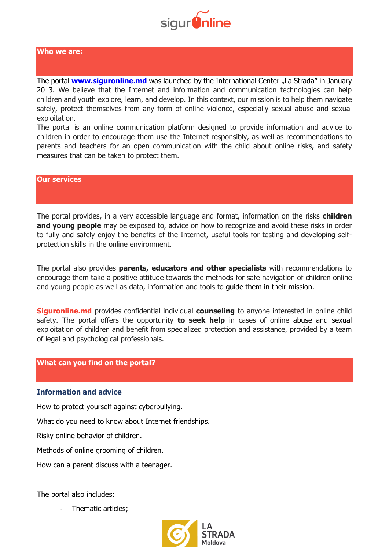

#### **Who we are:**

The portal **[www.siguronline.md](http://www.siguronline.md/)** was launched by the International Center "La Strada" in January 2013. We believe that the Internet and information and communication technologies can help children and youth explore, learn, and develop. In this context, our mission is to help them navigate safely, protect themselves from any form of online violence, especially sexual abuse and sexual exploitation.

The portal is an online communication platform designed to provide information and advice to children in order to encourage them use the Internet responsibly, as well as recommendations to parents and teachers for an open communication with the child about online risks, and safety measures that can be taken to protect them.

#### **Our services**

The portal provides, in a very accessible language and format, information on the risks **children**  and young people may be exposed to, advice on how to recognize and avoid these risks in order to fully and safely enjoy the benefits of the Internet, useful tools for testing and developing selfprotection skills in the online environment.

The portal also provides **parents, educators and other specialists** with recommendations to encourage them take a positive attitude towards the methods for safe navigation of children online and young people as well as data, information and tools to guide them in their mission.

**Siguronline.md** provides confidential individual **counseling** to anyone interested in online child safety. The portal offers the opportunity **to seek help** in cases of online abuse and sexual exploitation of children and benefit from specialized protection and assistance, provided by a team of legal and psychological professionals.

## **What can you find on the portal?**

#### **Information and advice**

How to protect yourself against cyberbullying.

What do you need to know about Internet friendships.

Risky online behavior of children.

Methods of online grooming of children.

How can a parent discuss with a teenager.

The portal also includes:

Thematic articles;

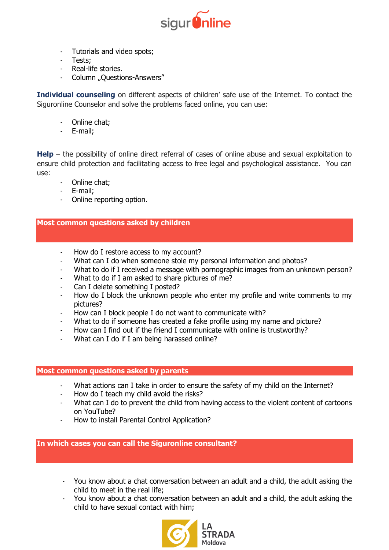

- Tutorials and video spots;
- Tests;
- Real-life stories.
- Column "Questions-Answers"

**Individual counseling** on different aspects of children' safe use of the Internet. To contact the Siguronline Counselor and solve the problems faced online, you can use:

- Online chat;
- E-mail;

**Help** – the possibility of online direct referral of cases of online abuse and sexual exploitation to ensure child protection and facilitating access to free legal and psychological assistance. You can use:

- Online chat;
- E-mail:
- Online reporting option.

## **Most common questions asked by children**

- How do I restore access to my account?
- What can I do when someone stole my personal information and photos?
- What to do if I received a message with pornographic images from an unknown person?
- What to do if I am asked to share pictures of me?
- Can I delete something I posted?
- How do I block the unknown people who enter my profile and write comments to my pictures?
- How can I block people I do not want to communicate with?
- What to do if someone has created a fake profile using my name and picture?
- How can I find out if the friend I communicate with online is trustworthy?
- What can I do if I am being harassed online?

## **Most common questions asked by parents**

- What actions can I take in order to ensure the safety of my child on the Internet?
- How do I teach my child avoid the risks?
- What can I do to prevent the child from having access to the violent content of cartoons on YouTube?
- How to install Parental Control Application?

# **In which cases you can call the Siguronline consultant?**

- You know about a chat conversation between an adult and a child, the adult asking the child to meet in the real life;
- You know about a chat conversation between an adult and a child, the adult asking the child to have sexual contact with him;

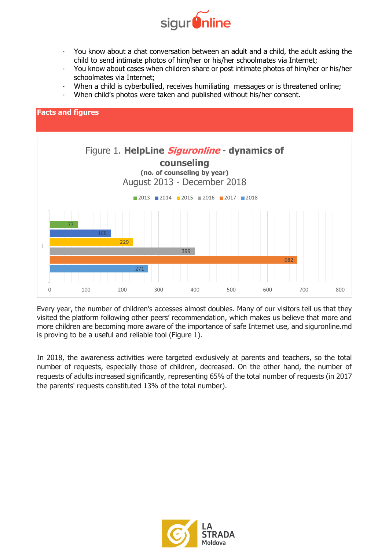

- You know about a chat conversation between an adult and a child, the adult asking the child to send intimate photos of him/her or his/her schoolmates via Internet;
- You know about cases when children share or post intimate photos of him/her or his/her schoolmates via Internet;
- When a child is cyberbullied, receives humiliating messages or is threatened online;
- When child's photos were taken and published without his/her consent.



Every year, the number of children's accesses almost doubles. Many of our visitors tell us that they visited the platform following other peers' recommendation, which makes us believe that more and more children are becoming more aware of the importance of safe Internet use, and siguronline.md is proving to be a useful and reliable tool (Figure 1).

In 2018, the awareness activities were targeted exclusively at parents and teachers, so the total number of requests, especially those of children, decreased. On the other hand, the number of requests of adults increased significantly, representing 65% of the total number of requests (in 2017 the parents' requests constituted 13% of the total number).

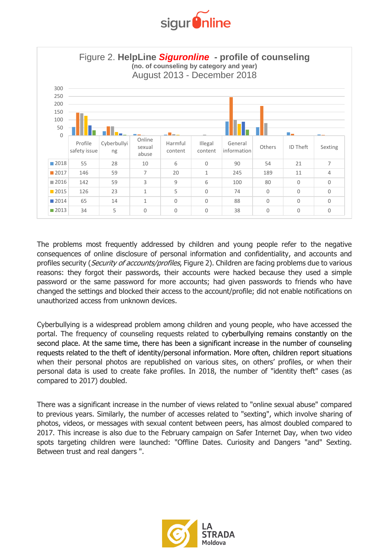



The problems most frequently addressed by children and young people refer to the negative consequences of online disclosure of personal information and confidentiality, and accounts and profiles security (Security of accounts/profiles, Figure 2). Children are facing problems due to various reasons: they forgot their passwords, their accounts were hacked because they used a simple password or the same password for more accounts; had given passwords to friends who have changed the settings and blocked their access to the account/profile; did not enable notifications on unauthorized access from unknown devices.

Cyberbullying is a widespread problem among children and young people, who have accessed the portal. The frequency of counseling requests related to cyberbullying remains constantly on the second place. At the same time, there has been a significant increase in the number of counseling requests related to the theft of identity/personal information. More often, children report situations when their personal photos are republished on various sites, on others' profiles, or when their personal data is used to create fake profiles. In 2018, the number of "identity theft" cases (as compared to 2017) doubled.

There was a significant increase in the number of views related to "online sexual abuse" compared to previous years. Similarly, the number of accesses related to "sexting", which involve sharing of photos, videos, or messages with sexual content between peers, has almost doubled compared to 2017. This increase is also due to the February campaign on Safer Internet Day, when two video spots targeting children were launched: "Offline Dates. Curiosity and Dangers "and" Sexting. Between trust and real dangers ".